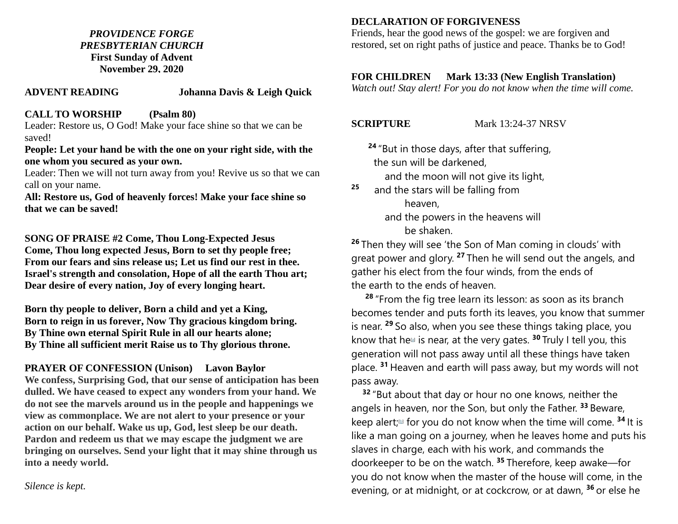### *PROVIDENCE FORGE PRESBYTERIAN CHURCH* **First Sunday of Advent November 29, 2020**

#### **ADVENT READING Johanna Davis & Leigh Quick**

#### **CALL TO WORSHIP (Psalm 80)**

Leader: Restore us, O God! Make your face shine so that we can be saved!

#### **People: Let your hand be with the one on your right side, with the one whom you secured as your own.**

Leader: Then we will not turn away from you! Revive us so that we can call on your name.

**All: Restore us, God of heavenly forces! Make your face shine so that we can be saved!**

**SONG OF PRAISE #2 Come, Thou Long-Expected Jesus Come, Thou long expected Jesus, Born to set thy people free; From our fears and sins release us; Let us find our rest in thee. Israel's strength and consolation, Hope of all the earth Thou art; Dear desire of every nation, Joy of every longing heart.** 

**Born thy people to deliver, Born a child and yet a King, Born to reign in us forever, Now Thy gracious kingdom bring. By Thine own eternal Spirit Rule in all our hearts alone; By Thine all sufficient merit Raise us to Thy glorious throne.**

# **PRAYER OF CONFESSION (Unison) Lavon Baylor**

**We confess, Surprising God, that our sense of anticipation has been dulled. We have ceased to expect any wonders from your hand. We do not see the marvels around us in the people and happenings we view as commonplace. We are not alert to your presence or your action on our behalf. Wake us up, God, lest sleep be our death. Pardon and redeem us that we may escape the judgment we are bringing on ourselves. Send your light that it may shine through us into a needy world.** 

*Silence is kept.*

## **DECLARATION OF FORGIVENESS**

Friends, hear the good news of the gospel: we are forgiven and restored, set on right paths of justice and peace. Thanks be to God!

### **FOR CHILDREN Mark 13:33 (New English Translation)**

*Watch out! Stay alert! For you do not know when the time will come.* 

**SCRIPTURE** Mark 13:24-37 NRSV

**<sup>24</sup>** "But in those days, after that suffering, the sun will be darkened, and the moon will not give its light,

<sup>25</sup> and the stars will be falling from heaven, and the powers in the heavens will be shaken.

**<sup>26</sup>** Then they will see 'the Son of Man coming in clouds' with great power and glory. **<sup>27</sup>** Then he will send out the angels, and gather his elect from the four winds, from the ends of the earth to the ends of heaven.

**<sup>28</sup>** "From the fig tree learn its lesson: as soon as its branch becomes tender and puts forth its leaves, you know that summer is near. **<sup>29</sup>** So also, when you see these things taking place, you know that he<sup>[\[a\]](https://www.biblegateway.com/passage/?search=Mark+13%3A24-37&version=NRSV#fen-NRSV-24740a)</sup> is near, at the very gates. <sup>30</sup> Truly I tell you, this generation will not pass away until all these things have taken place. **<sup>31</sup>** Heaven and earth will pass away, but my words will not pass away.

**<sup>32</sup>** "But about that day or hour no one knows, neither the angels in heaven, nor the Son, but only the Father. **<sup>33</sup>** Beware, keep alert;<sup>[1]</sup> for you do not know when the time will come. <sup>34</sup> It is like a man going on a journey, when he leaves home and puts his slaves in charge, each with his work, and commands the doorkeeper to be on the watch. **<sup>35</sup>** Therefore, keep awake—for you do not know when the master of the house will come, in the evening, or at midnight, or at cockcrow, or at dawn, **<sup>36</sup>** or else he